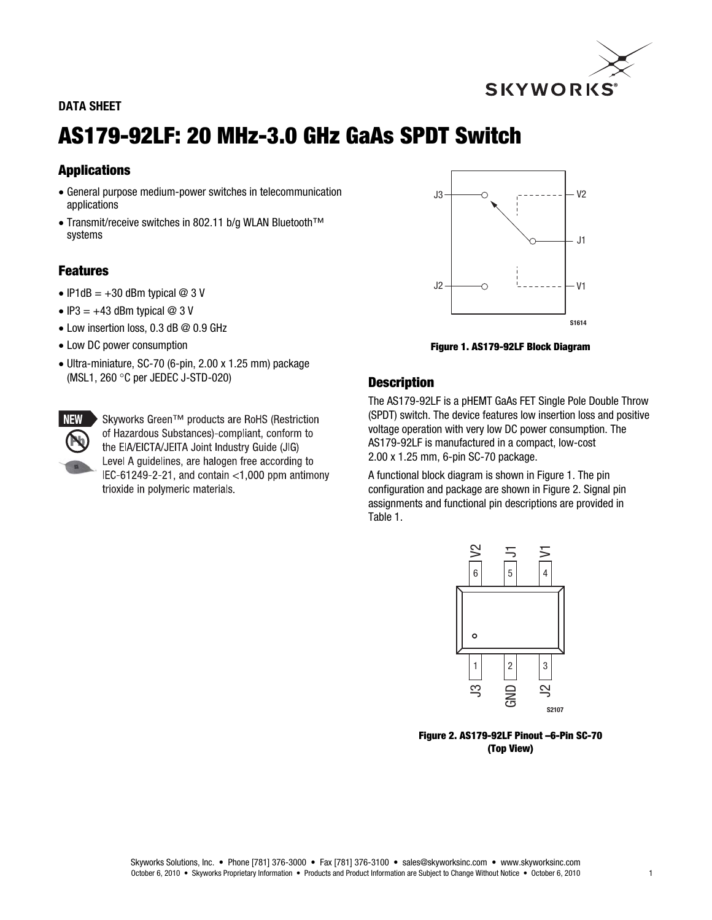

# DATA SHEET

# AS179-92LF: 20 MHz-3.0 GHz GaAs SPDT Switch

# Applications

- General purpose medium-power switches in telecommunication applications
- Transmit/receive switches in 802.11 b/g WLAN Bluetooth™ systems

# Features

- IP1dB =  $+30$  dBm typical @ 3 V
- $\bullet$  IP3 = +43 dBm typical @ 3 V
- Low insertion loss, 0.3 dB @ 0.9 GHz
- Low DC power consumption
- Ultra-miniature, SC-70 (6-pin, 2.00 x 1.25 mm) package (MSL1, 260 °C per JEDEC J-STD-020)

▶ Skyworks Green<sup>TM</sup> products are RoHS (Restriction of Hazardous Substances)-compliant, conform to the EIA/EICTA/JEITA Joint Industry Guide (JIG) Level A guidelines, are halogen free according to IEC-61249-2-21, and contain  $<$ 1,000 ppm antimony trioxide in polymeric materials.



Figure 1. AS179-92LF Block Diagram

# **Description**

The AS179-92LF is a pHEMT GaAs FET Single Pole Double Throw (SPDT) switch. The device features low insertion loss and positive voltage operation with very low DC power consumption. The AS179-92LF is manufactured in a compact, low-cost 2.00 x 1.25 mm, 6-pin SC-70 package.

A functional block diagram is shown in Figure 1. The pin configuration and package are shown in Figure 2. Signal pin assignments and functional pin descriptions are provided in Table 1.



Figure 2. AS179-92LF Pinout –6-Pin SC-70 (Top View)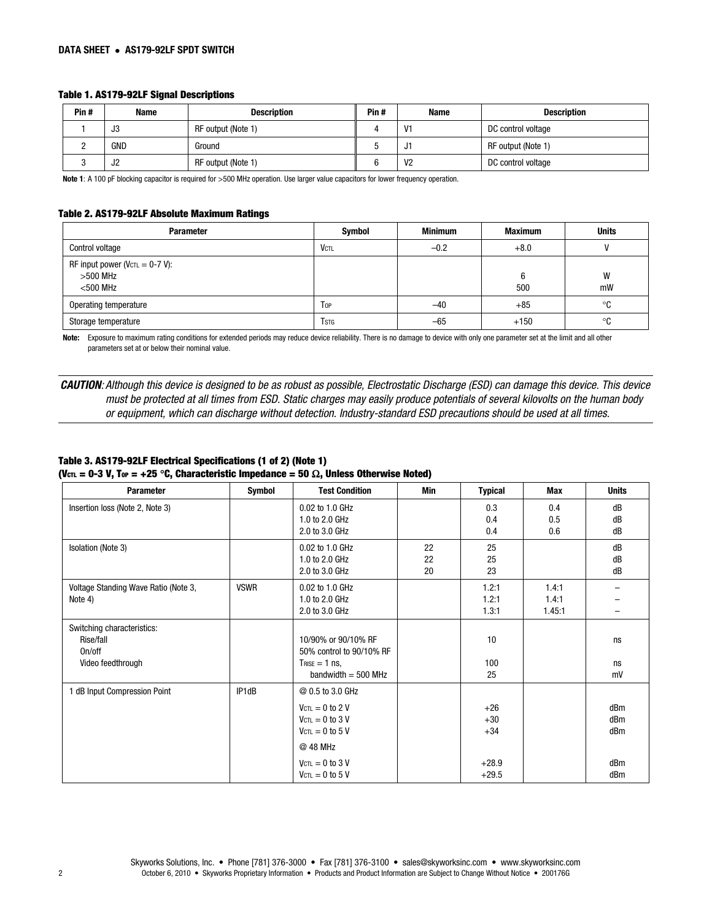## Table 1. AS179-92LF Signal Descriptions

| Pin# | Name | <b>Description</b> | Pin# | Name           | <b>Description</b> |
|------|------|--------------------|------|----------------|--------------------|
|      | J3   | RF output (Note 1) |      | V1             | DC control voltage |
|      | GND  | Ground             |      | ، ل            | RF output (Note 1) |
|      | ےں   | RF output (Note 1) |      | V <sub>2</sub> | DC control voltage |

Note 1: A 100 pF blocking capacitor is required for >500 MHz operation. Use larger value capacitors for lower frequency operation.

#### Table 2. AS179-92LF Absolute Maximum Ratings

| <b>Parameter</b>                                                  | Symbol       | <b>Minimum</b> | <b>Maximum</b> | <b>Units</b> |
|-------------------------------------------------------------------|--------------|----------------|----------------|--------------|
| Control voltage                                                   | <b>VCTL</b>  | $-0.2$         | $+8.0$         |              |
| RF input power ( $Vc\tau = 0-7 V$ ):<br>$>500$ MHz<br>$<$ 500 MHz |              |                | 6<br>500       | W<br>mW      |
| Operating temperature                                             | Top          | $-40$          | $+85$          | °C           |
| Storage temperature                                               | <b>T</b> stg | -65            | $+150$         | $^{\circ}$ C |

Note: Exposure to maximum rating conditions for extended periods may reduce device reliability. There is no damage to device with only one parameter set at the limit and all other parameters set at or below their nominal value.

CAUTION: Although this device is designed to be as robust as possible, Electrostatic Discharge (ESD) can damage this device. This device must be protected at all times from ESD. Static charges may easily produce potentials of several kilovolts on the human body or equipment, which can discharge without detection. Industry-standard ESD precautions should be used at all times.

## Table 3. AS179-92LF Electrical Specifications (1 of 2) (Note 1) (Vcn = 0-3 V, Top = +25 °C, Characteristic Impedance = 50  $\Omega$ , Unless Otherwise Noted)

| <b>Parameter</b>                                                       | Symbol      | <b>Test Condition</b>                                                                                                                                                                   | Min            | <b>Typical</b>                                | Max                      | <b>Units</b>                    |
|------------------------------------------------------------------------|-------------|-----------------------------------------------------------------------------------------------------------------------------------------------------------------------------------------|----------------|-----------------------------------------------|--------------------------|---------------------------------|
| Insertion loss (Note 2, Note 3)                                        |             | 0.02 to 1.0 GHz<br>1.0 to 2.0 GHz<br>2.0 to 3.0 GHz                                                                                                                                     |                | 0.3<br>0.4<br>0.4                             | 0.4<br>0.5<br>0.6        | dB<br>dB<br>dB                  |
| Isolation (Note 3)                                                     |             | 0.02 to 1.0 GHz<br>1.0 to 2.0 GHz<br>2.0 to 3.0 GHz                                                                                                                                     | 22<br>22<br>20 | 25<br>25<br>23                                |                          | dB<br>dB<br>dB                  |
| Voltage Standing Wave Ratio (Note 3,<br>Note 4)                        | <b>VSWR</b> | 0.02 to 1.0 GHz<br>1.0 to 2.0 GHz<br>2.0 to 3.0 GHz                                                                                                                                     |                | 1.2:1<br>1.2:1<br>1.3:1                       | 1.4:1<br>1.4:1<br>1.45:1 |                                 |
| Switching characteristics:<br>Rise/fall<br>On/off<br>Video feedthrough |             | 10/90% or 90/10% RF<br>50% control to 90/10% RF<br>$T$ RISE = 1 ns,<br>bandwidth $=$ 500 MHz                                                                                            |                | 10<br>100<br>25                               |                          | ns<br>ns<br>mV                  |
| 1 dB Input Compression Point                                           | IP1dB       | @ 0.5 to 3.0 GHz<br>$V_{\text{CTL}} = 0$ to 2 V<br>$V_{\text{CTL}} = 0$ to 3 V<br>$V_{\text{CTL}} = 0$ to 5 V<br>@ 48 MHz<br>$V_{\text{CTL}} = 0$ to 3 V<br>$V_{\text{CTL}} = 0$ to 5 V |                | $+26$<br>$+30$<br>$+34$<br>$+28.9$<br>$+29.5$ |                          | dBm<br>dBm<br>dBm<br>dBm<br>dBm |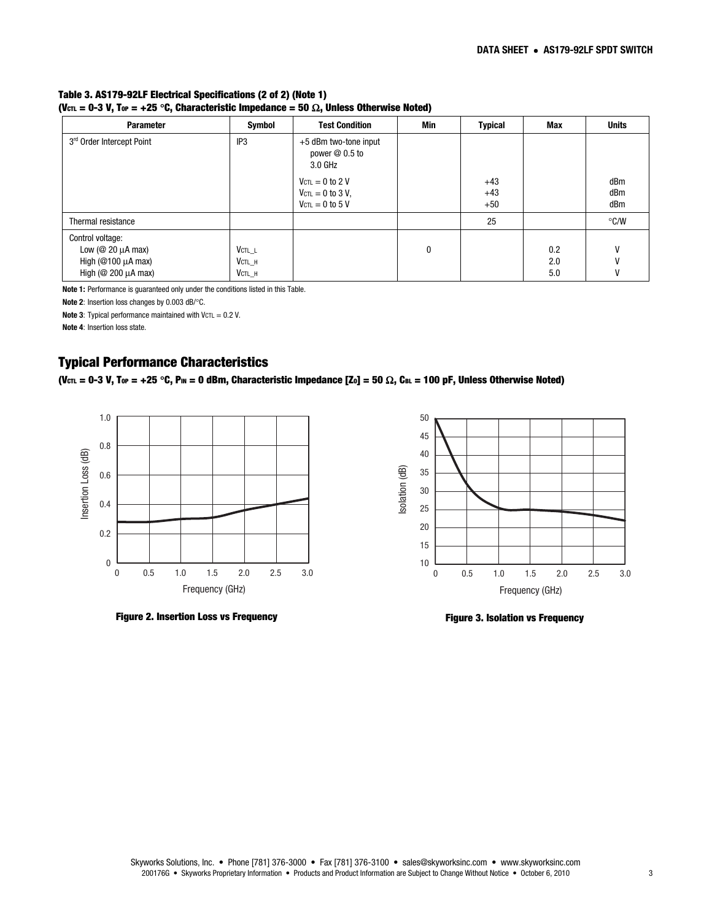#### Table 3. AS179-92LF Electrical Specifications (2 of 2) (Note 1) (Vc $\tau_L$  = 0-3 V, Top = +25 °C, Characteristic Impedance = 50  $\Omega$ , Unless Otherwise Noted)

| <b>Parameter</b>            | Symbol          | <b>Test Condition</b>                               | Min | <b>Typical</b> | Max | <b>Units</b>  |
|-----------------------------|-----------------|-----------------------------------------------------|-----|----------------|-----|---------------|
| 3rd Order Intercept Point   | IP <sub>3</sub> | +5 dBm two-tone input<br>power $@0.5$ to<br>3.0 GHz |     |                |     |               |
|                             |                 | $V_{\text{CTL}} = 0$ to 2 V                         |     | $+43$          |     | dBm           |
|                             |                 | $V_{\text{CTL}} = 0$ to 3 V,                        |     | $+43$          |     | dBm           |
|                             |                 | $V_{\text{CTL}} = 0$ to 5 V                         |     | $+50$          |     | dBm           |
| Thermal resistance          |                 |                                                     |     | 25             |     | $\degree$ C/W |
| Control voltage:            |                 |                                                     |     |                |     |               |
| Low ( $@$ 20 $\mu$ A max)   | $V$ ctl $L$     |                                                     | 0   |                | 0.2 | v             |
| High ( $@100 \mu A$ max)    | $V$ CTL $_H$    |                                                     |     |                | 2.0 |               |
| High ( $@$ 200 $\mu$ A max) | VCTL H          |                                                     |     |                | 5.0 |               |

Note 1: Performance is guaranteed only under the conditions listed in this Table.

Note 2: Insertion loss changes by 0.003 dB/°C.

Note 3: Typical performance maintained with  $VCTL = 0.2$  V.

Note 4: Insertion loss state.

# Typical Performance Characteristics

(Vcn. = 0-3 V, Top = +25 °C, Pm = 0 dBm, Characteristic Impedance [Zo] = 50  $\Omega$ , CBL = 100 pF, Unless Otherwise Noted)



Figure 2. Insertion Loss vs Frequency



Figure 3. Isolation vs Frequency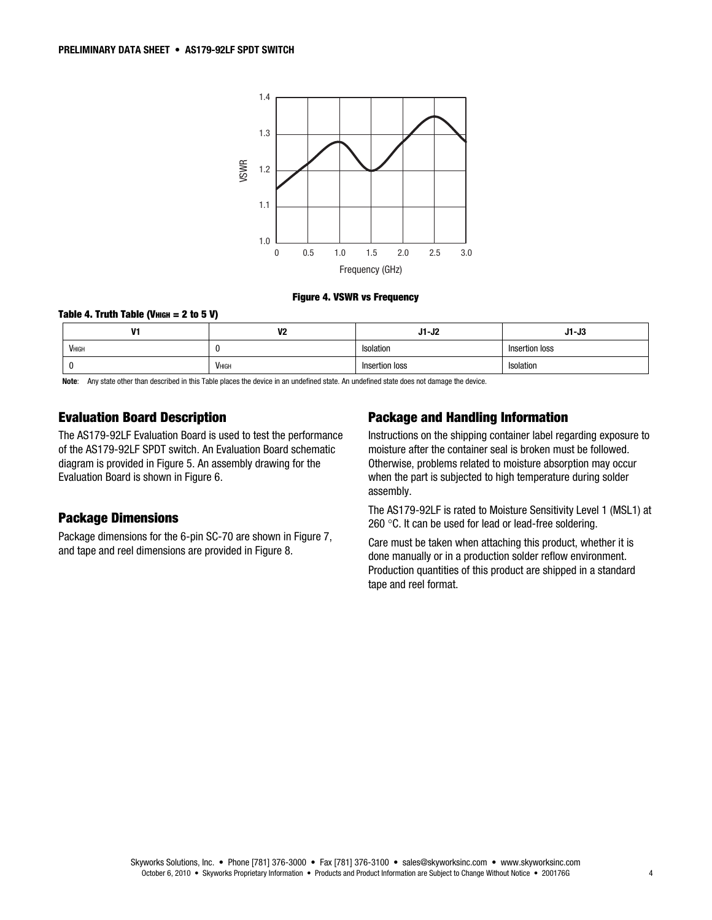

#### Figure 4. VSWR vs Frequency

## Table 4. Truth Table (V $_{\text{HIGH}}$  = 2 to 5 V)

| v             | V <sub>2</sub> | $J1-J2$        | $J1-J3$        |
|---------------|----------------|----------------|----------------|
| <b>V</b> ніgн |                | Isolation      | Insertion loss |
|               | VHIGH          | Insertion loss | Isolation      |

Note: Any state other than described in this Table places the device in an undefined state. An undefined state does not damage the device.

# Evaluation Board Description

The AS179-92LF Evaluation Board is used to test the performance of the AS179-92LF SPDT switch. An Evaluation Board schematic diagram is provided in Figure 5. An assembly drawing for the Evaluation Board is shown in Figure 6.

## Package Dimensions

Package dimensions for the 6-pin SC-70 are shown in Figure 7, and tape and reel dimensions are provided in Figure 8.

## Package and Handling Information

Instructions on the shipping container label regarding exposure to moisture after the container seal is broken must be followed. Otherwise, problems related to moisture absorption may occur when the part is subjected to high temperature during solder assembly.

The AS179-92LF is rated to Moisture Sensitivity Level 1 (MSL1) at 260 $\degree$ C. It can be used for lead or lead-free soldering.

Care must be taken when attaching this product, whether it is done manually or in a production solder reflow environment. Production quantities of this product are shipped in a standard tape and reel format.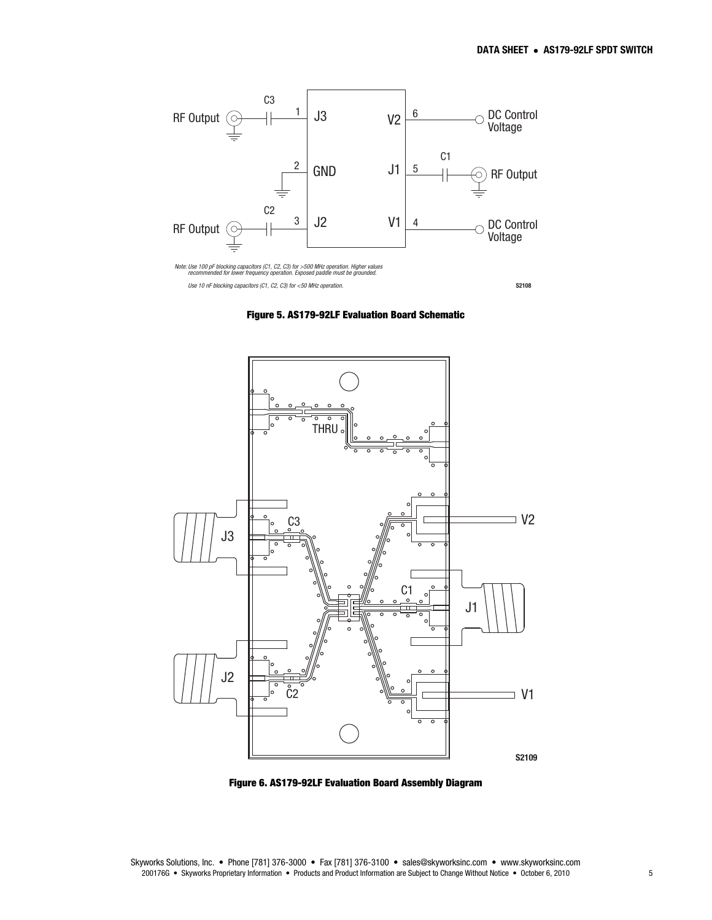

Figure 5. AS179-92LF Evaluation Board Schematic



Figure 6. AS179-92LF Evaluation Board Assembly Diagram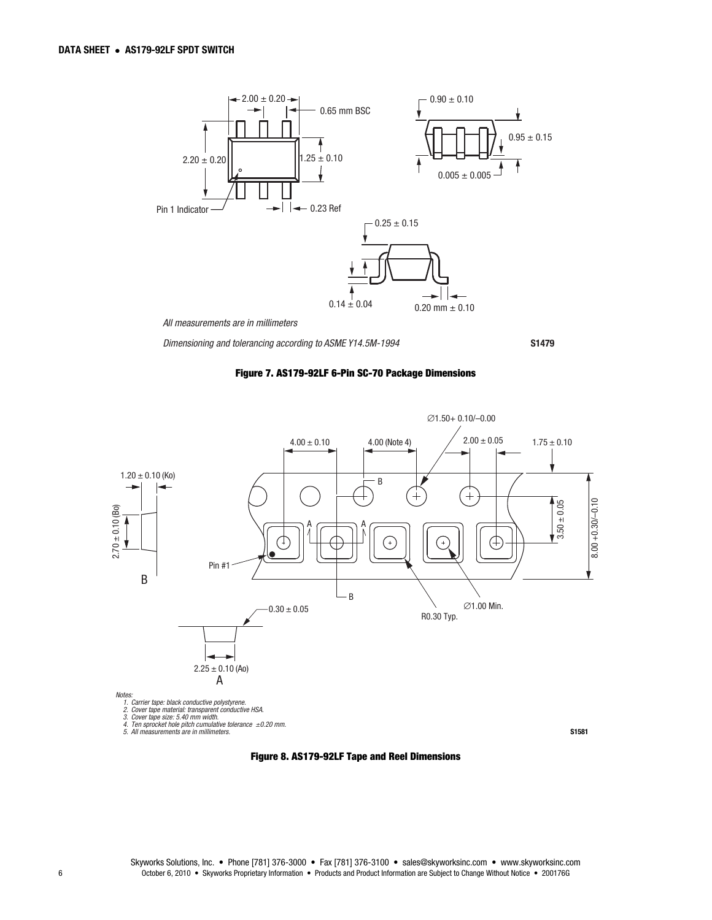

Dimensioning and tolerancing according to ASME Y14.5M-1994

S1479





Figure 8. AS179-92LF Tape and Reel Dimensions